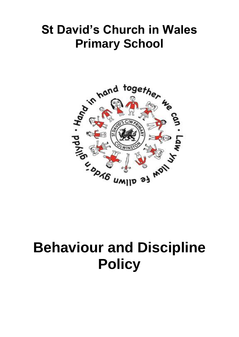## **St David's Church in Wales Primary School**



# **Behaviour and Discipline Policy**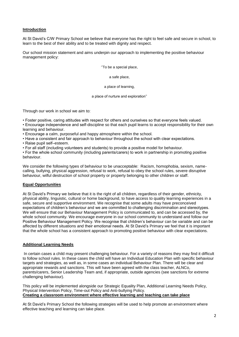#### **Introduction**

At St David's C/W Primary School we believe that everyone has the right to feel safe and secure in school, to learn to the best of their ability and to be treated with dignity and respect.

Our school mission statement and aims underpin our approach to implementing the positive behaviour management policy:

''To be a special place,

a safe place,

a place of learning,

a place of nurture and exploration''

Through our work in school we aim to:

- Foster positive, caring attitudes with respect for others and ourselves so that everyone feels valued.
- Encourage independence and self-discipline so that each pupil learns to accept responsibility for their own learning and behaviour.
- Encourage a calm, purposeful and happy atmosphere within the school.
- Have a consistent and fair approach to behaviour throughout the school with clear expectations.
- Raise pupil self–esteem.
- For all staff (including volunteers and students) to provide a positive model for behaviour.

• For the whole school community (including parents/carers) to work in partnership in promoting positive behaviour.

We consider the following types of behaviour to be unacceptable: Racism, homophobia, sexism, namecalling, bullying, physical aggression, refusal to work, refusal to obey the school rules, severe disruptive behaviour, wilful destruction of school property or property belonging to other children or staff.

#### **Equal Opportunities**

At St David's Primary we believe that it is the right of all children, regardless of their gender, ethnicity, physical ability, linguistic, cultural or home background, to have access to quality learning experiences in a safe, secure and supportive environment. We recognise that some adults may have preconceived expectations of children's behaviour and we are committed to challenging discrimination and stereotypes. We will ensure that our Behaviour Management Policy is communicated to, and can be accessed by, the whole school community. We encourage everyone in our school community to understand and follow our Positive Behaviour Management Policy. We recognise that children's behaviour can be variable and can be affected by different situations and their emotional needs. At St David's Primary we feel that it is important that the whole school has a consistent approach to promoting positive behaviour with clear expectations.

#### **Additional Learning Needs**

In certain cases a child may present challenging behaviour. For a variety of reasons they may find it difficult to follow school rules. In these cases the child will have an Individual Education Plan with specific behaviour targets and strategies, as well as, in some cases an individual Behaviour Plan. There will be clear and appropriate rewards and sanctions. This will have been agreed with the class teacher, ALNCo, parents/carers, Senior Leadership Team and, if appropriate, outside agencies (see sanctions for extreme challenging behaviour).

This policy will be implemented alongside our Strategic Equality Plan, Additional Learning Needs Policy, Physical Intervention Policy, Time-out Policy and Anti-bullying Policy. **Creating a classroom environment where effective learning and teaching can take place** 

At St David's Primary School the following strategies will be used to help promote an environment where effective teaching and learning can take place.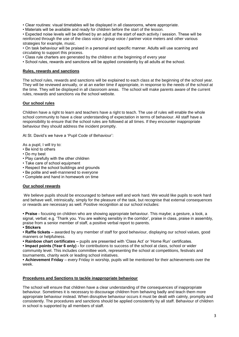- Clear routines: visual timetables will be displayed in all classrooms, where appropriate.
- Materials will be available and ready for children before the start of the lesson.

• Expected noise levels will be defined by an adult at the start of each activity / session. These will be reinforced through the use of the class voice / group voice / partner voice meters and other various strategies for example, music.

• On task behaviour will be praised in a personal and specific manner. Adults will use scanning and circulating to support this process.

- Class rule charters are generated by the children at the beginning of every year
- School rules, rewards and sanctions will be applied consistently by all adults at the school.

#### **Rules, rewards and sanctions**

The school rules, rewards and sanctions will be explained to each class at the beginning of the school year. They will be reviewed annually, or at an earlier time if appropriate, in response to the needs of the school at the time. They will be displayed in all classroom areas. The school will make parents aware of the current rules, rewards and sanctions via the school website.

#### **Our school rules**

Children have a right to learn and teachers have a right to teach. The use of rules will enable the whole school community to have a clear understanding of expectation in terms of behaviour. All staff have a responsibility to ensure that the school rules are followed at all times. If they encounter inappropriate behaviour they should address the incident promptly.

At St. David's we have a 'Pupil Code of Behaviour':

As a pupil, I will try to:

- Be kind to others
- Do my best
- Play carefully with the other children
- Take care of school equipment
- Respect the school buildings and grounds
- Be polite and well-mannered to everyone
- Complete and hand in homework on time

#### **Our school rewards**

We believe pupils should be encouraged to behave well and work hard. We would like pupils to work hard and behave well, intrinsically, simply for the pleasure of the task, but recognise that external consequences or rewards are necessary as well. Positive recognition at our school includes:

**• Praise -** focusing on children who are showing appropriate behaviour. This maybe; a gesture, a look, a signal, verbal; e.g. 'Thank you. You are walking sensibly in the corridor', praise in class, praise in assembly, praise from a senior member of staff, a positive verbal report to parents.

**• Stickers** 

**• Raffle tickets –** awarded by any member of staff for good behaviour, displaying our school values, good manners or helpfulness.

**• Rainbow chart certificates –** pupils are presented with 'Class Act' or 'Home Run' certificates.

**• Impact points (Year 6 only) -** for contributions to success of the school at class, school or wider community level. This includes committee work, representing the school at competitions, festivals and tournaments, charity work or leading school initiatives.

**• Achievement Friday** – every Friday in worship, pupils will be mentioned for their achievements over the week.

#### **Procedures and Sanctions to tackle inappropriate behaviour**

The school will ensure that children have a clear understanding of the consequences of inappropriate behaviour. Sometimes it is necessary to discourage children from behaving badly and teach them more appropriate behaviour instead. When disruptive behaviour occurs it must be dealt with calmly, promptly and consistently. The procedures and sanctions should be applied consistently by all staff. Behaviour of children in school is supported by all members of staff.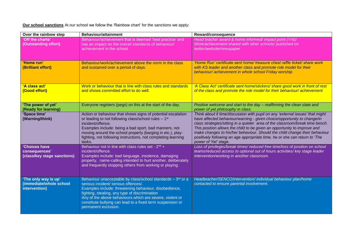**Our school sanctions** At our school we follow the 'Rainbow chart' for the sanctions we apply:

| Over the rainbow step                                            | <b>Behaviour/attainment</b>                                                                                                                                                                                                                                                                                                                                        | Reward/consequence                                                                                                                                                                                                                                                                                                                                                                                                                                                                                        |
|------------------------------------------------------------------|--------------------------------------------------------------------------------------------------------------------------------------------------------------------------------------------------------------------------------------------------------------------------------------------------------------------------------------------------------------------|-----------------------------------------------------------------------------------------------------------------------------------------------------------------------------------------------------------------------------------------------------------------------------------------------------------------------------------------------------------------------------------------------------------------------------------------------------------------------------------------------------------|
| 'Off the charts'<br>(Outstanding effort)                         | Behaviour/achievement that is deemed 'best practice' and<br>has an impact on the overall standards of behaviour/<br>achievement in the school.                                                                                                                                                                                                                     | Head teacher award & home informed/ impact point (Yr6)/<br>Work/achievement shared with other schools/ published on<br>twitter/website/newspaper                                                                                                                                                                                                                                                                                                                                                          |
| 'Home run'<br>(Brilliant effort)                                 | Behaviour/work/achievement above the norm in the class<br>and sustained over a period of days.                                                                                                                                                                                                                                                                     | 'Home Run' certificate sent home/ treasure chest raffle ticket/ share work<br>with KS leader and another class and promote role model for their<br>behaviour/ achievement in whole school Friday worship.                                                                                                                                                                                                                                                                                                 |
| 'A class act'<br>(Good effort)                                   | Work or behaviour that is line with class rules and standards<br>and shows committed effort to do well.                                                                                                                                                                                                                                                            | 'A Class Act' certificate sent home/stickers/ share good work in front of rest<br>of the class and promote the role model for their behaviour/achievement                                                                                                                                                                                                                                                                                                                                                 |
| 'The power of yet'<br>(Ready for learning)                       | Everyone registers (pegs) on this at the start of the day.                                                                                                                                                                                                                                                                                                         | Positive welcome and start to the day - reaffirming the clean slate and<br>power of yet philosophy in class.                                                                                                                                                                                                                                                                                                                                                                                              |
| 'Space time'<br>(Warning/think)                                  | Action or behaviour that shows signs of potential escalation<br>or leading to not following class/school rules - 1 <sup>st</sup><br>incident/offence.<br>Examples include: being a bad sport, bad manners, not<br>moving around the school properly (barging in etc.), play-<br>fighting, not following instructions, not completing learning<br>tasks.            | Think about it time/discussion with pupil on any 'external issues' that might<br>have affected behaviour/warning - given choice/opportunity to change/in<br>class strategies/sitting in a quieter area of the classroom/break time bench.<br>This position allows the child to be given an opportunity to improve and<br>make changes to his/her behaviour. Should the child change their behaviour<br>positively following an age appropriate time, he or she can return to 'The<br>power of Yet' stage. |
| 'Choices have<br>consequences'<br>(class/key stage sanctions)    | Behaviour not in line with class rules set - 2 <sup>nd</sup> +<br>incident/offence.<br>Examples include: bad language, insolence, damaging<br>property, name-calling intended to hurt another, deliberately<br>and frequently stopping others from working or playing.                                                                                             | Loss of privileges/break times/ reduced free time/loss of position on school<br>teams/reduced access to optional out of hours activities/ key stage leader<br>intervention/working in another classroom.                                                                                                                                                                                                                                                                                                  |
| 'The only way is up'<br>(immediate/whole school<br>intervention) | Behaviour unacceptable by class/school standards $-3rd$ or a<br>serious incident/ serious offences/.<br>Examples include: threatening behaviour, disobedience,<br>fighting, stealing, any type of discrimination<br>Any of the above behaviours which are severe, violent or<br>constitute bullying can lead to a fixed term suspension or<br>permanent exclusion. | Headteacher/SENCO/intervention/ individual behaviour plan/home<br>contacted to ensure parental involvement.                                                                                                                                                                                                                                                                                                                                                                                               |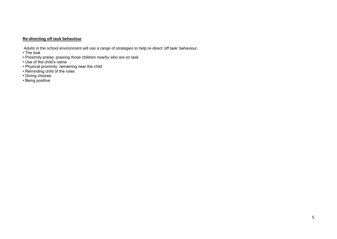#### **Re-directing off task behaviour**

Adults in the school environment will use a range of strategies to help re-direct 'off task' behaviour.

- The look
- Proximity praise: praising those children nearby who are on task
- Use of the child's name
- Physical proximity: remaining near the child
- Reminding child of the rules
- Giving choices
- Being positive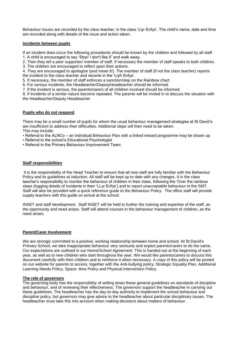Behaviour issues are recorded by the class teacher, in the class 'Llyr Enfys'. The child's name, date and time are recorded along with details of the issue and action taken.

#### **Incidents between pupils**

If an incident does occur the following procedures should be known by the children and followed by all staff. 1. A child is encouraged to say 'Stop! I don't like it" and walk away.

2. Then they tell a peer supporter/ member of staff. If necessary the member of staff speaks to both children.

3. The children are encouraged to reflect upon their actions.

4. They are encouraged to apologise (and mean it!). The member of staff (if not the class teacher) reports the incident to the class teacher and records in the 'Llyfr Enfys'.

5. If necessary, the member of staff enforces a sanction/step on the Rainbow chart.

6. For serious incidents, the Headteacher/DeputyHeadteacher should be informed.

7. If the incident is serious, the parents/carers of all children involved should be informed.

8. If incidents of a similar nature become repeated. The parents will be invited in to discuss the situation with the Headteacher/Deputy Headteacher

#### **Pupils who do not respond**

There may be a small number of pupils for whom the usual behaviour management strategies at St David's are insufficient to address their difficulties. Additional steps will then need to be taken. This may include:

• Referral to the ALNCo – an Individual Behaviour Plan with a linked reward programme may be drawn up

- Referral to the school's Educational Psychologist
- Referral to the Primary Behaviour Improvement Team.

#### **Staff responsibilities**

It is the responsibility of the Head Teacher to ensure that all new staff are fully familiar with the Behaviour Policy and its guidelines at induction. All staff will be kept up to date with any changes. It is the class teacher's responsibility to monitor the behaviour of children in their class, following the 'Over the rainbow steps (logging details of incidents in their 'LLyr Enfys') and to report unacceptable behaviour to the SMT. Staff will also be provided with a quick reference guide to the Behaviour Policy. The office staff will provide supply teachers with this guide on arrival at the school.

INSET and staff development: Staff INSET will be held to further the training and expertise of the staff, as the opportunity and need arises. Staff will attend courses in the behaviour management of children, as the need arises.

#### **Parent/Carer Involvement**

We are strongly committed to a positive, working relationship between home and school. At St David's Primary School, we take inappropriate behaviour very seriously and expect parents/carers to do the same. Our expectations are outlined in our Home/School Agreement. This is handed out at the beginning of each year, as well as to new children who start throughout the year. We would like parents/carers to discuss this document carefully with their children and to reinforce it when necessary. A copy of this policy will be posted on our website for parents to access, together with the Anti-bullying policy, Strategic Equality Plan, Additional Learning Needs Policy, Space -time Policy and Physical Intervention Policy.

#### **The role of governors**

The governing body has the responsibility of setting down these general guidelines on standards of discipline and behaviour, and of reviewing their effectiveness. The governors support the headteacher in carrying out these guidelines. The headteacher has the day-to-day authority to implement the school behaviour and discipline policy, but governors may give advice to the headteacher about particular disciplinary issues. The headteacher must take this into account when making decisions about matters of behaviour.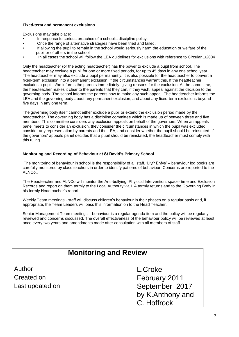#### **Fixed-term and permanent exclusions**

Exclusions may take place:

- In response to serious breaches of a school's discipline policy.
- Once the range of alternative strategies have been tried and failed.
- If allowing the pupil to remain in the school would seriously harm the education or welfare of the pupil or of others in the school.
- In all cases the school will follow the LEA guidelines for exclusions with reference to Circular 1/2004

Only the headteacher (or the acting headteacher) has the power to exclude a pupil from school. The headteacher may exclude a pupil for one or more fixed periods, for up to 45 days in any one school year. The headteacher may also exclude a pupil permanently. It is also possible for the headteacher to convert a fixed-term exclusion into a permanent exclusion, if the circumstances warrant this. If the headteacher excludes a pupil, s/he informs the parents immediately, giving reasons for the exclusion. At the same time, the headteacher makes it clear to the parents that they can, if they wish, appeal against the decision to the governing body. The school informs the parents how to make any such appeal. The headteacher informs the LEA and the governing body about any permanent exclusion, and about any fixed-term exclusions beyond five days in any one term.

The governing body itself cannot either exclude a pupil or extend the exclusion period made by the headteacher. The governing body has a discipline committee which is made up of between three and five members. This committee considers any exclusion appeals on behalf of the governors. When an appeals panel meets to consider an exclusion, they consider the circumstances in which the pupil was excluded, consider any representation by parents and the LEA, and consider whether the pupil should be reinstated. If the governors' appeals panel decides that a pupil should be reinstated, the headteacher must comply with this ruling.

#### **Monitoring and Recording of Behaviour at St David's Primary School**

The monitoring of behaviour in school is the responsibility of all staff. 'Llyfr Enfys' – behaviour log books are carefully monitored by class teachers in order to identify patterns of behaviour. Concerns are reported to the ALNCo..

The Headteacher and ALNCo will monitor the Anti-bullying, Physical Intervention, space- time and Exclusion Records and report on them termly to the Local Authority via L.A termly returns and to the Governing Body in his termly Headteacher's report.

Weekly Team meetings - staff will discuss children's behaviour in their phases on a regular basis and, if appropriate, the Team Leaders will pass this information on to the Head Teacher.

Senior Management Team meetings – behaviour is a regular agenda item and the policy will be regularly reviewed and concerns discussed. The overall effectiveness of the behaviour policy will be reviewed at least once every two years and amendments made after consultation with all members of staff.

| <b>Monitoring and Review</b> |                                                   |  |  |  |
|------------------------------|---------------------------------------------------|--|--|--|
| Author                       | L.Croke                                           |  |  |  |
| Created on                   | February 2011                                     |  |  |  |
| Last updated on              | September 2017<br>by K.Anthony and<br>C. Hoffrock |  |  |  |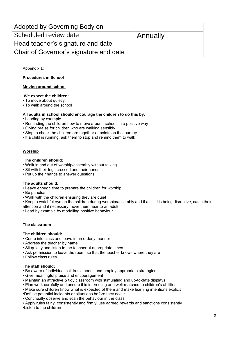| Adopted by Governing Body on           |          |
|----------------------------------------|----------|
| Scheduled review date                  | Annually |
| Head teacher's signature and date      |          |
| Chair of Governor's signature and date |          |

Appendix 1:

#### **Procedures in School**

#### **Moving around school**

#### **We expect the children:**

- To move about quietly
- To walk around the school

#### **All adults in school should encourage the children to do this by:**

- Leading by example
- Reminding the children how to move around school, in a positive way
- Giving praise for children who are walking sensibly
- Stop to check the children are together at points on the journey
- If a child is running, ask them to stop and remind them to walk

#### **Worship**

#### **The children should:**

- Walk in and out of worship/assembly without talking
- Sit with their legs crossed and their hands still
- Put up their hands to answer questions

#### **The adults should:**

- Leave enough time to prepare the children for worship
- Be punctual
- Walk with the children ensuring they are quiet
- Keep a watchful eye on the children during worship/assembly and if a child is being disruptive, catch their attention and if necessary move them near to an adult
- Lead by example by modelling positive behaviour

#### **The classroom**

#### **The children should:**

- Come into class and leave in an orderly manner
- Address the teacher by name
- Sit quietly and listen to the teacher at appropriate times
- Ask permission to leave the room, so that the teacher knows where they are
- Follow class rules

#### **The staff should:**

- Be aware of individual children's needs and employ appropriate strategies
- Give meaningful praise and encouragement
- Maintain an attractive & tidy classroom with stimulating and up-to-date displays
- Plan work carefully and ensure it is interesting and well-matched to children's abilities
- Make sure children know what is expected of them and make learning intentions explicit
- •Defuse potential incidents or situations before they occur
- Continually observe and scan the behaviour in the class

• Apply rules fairly, consistently and firmly: use agreed rewards and sanctions consistently •Listen to the children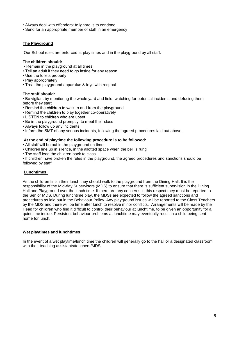- Always deal with offenders: to ignore is to condone
- Send for an appropriate member of staff in an emergency

#### **The Playground**

Our School rules are enforced at play times and in the playground by all staff.

#### **The children should:**

- Remain in the playground at all times
- Tell an adult if they need to go inside for any reason
- Use the toilets properly
- Play appropriately
- Treat the playground apparatus & toys with respect

#### **The staff should:**

• Be vigilant by monitoring the whole yard and field, watching for potential incidents and defusing them before they start

- Remind the children to walk to and from the playground
- Remind the children to play together co-operatively
- LISTEN to children who are upset
- Be in the playground promptly, to meet their class
- Always follow up any incidents
- Inform the SMT of any serious incidents, following the agreed procedures laid out above.

#### **At the end of playtime the following procedure is to be followed:**

- All staff will be out in the playground on time
- Children line up in silence, in the allotted space when the bell is rung
- The staff lead the children back to class

• If children have broken the rules in the playground, the agreed procedures and sanctions should be followed by staff.

#### **Lunchtimes:**

As the children finish their lunch they should walk to the playground from the Dining Hall. It is the responsibility of the Mid-day Supervisors (MDS) to ensure that there is sufficient supervision in the Dining Hall and Playground over the lunch time. If there are any concerns in this respect they must be reported to the Senior MDS. During lunchtime play, the MDSs are expected to follow the agreed sanctions and procedures as laid out in the Behaviour Policy. Any playground issues will be reported to the Class Teachers by the MDS and there will be time after lunch to resolve minor conflicts. Arrangements will be made by the Head for children who find it difficult to control their behaviour at lunchtime, to be given an opportunity for a quiet time inside. Persistent behaviour problems at lunchtime may eventually result in a child being sent home for lunch.

#### **Wet playtimes and lunchtimes**

In the event of a wet playtime/lunch time the children will generally go to the hall or a designated classroom with their teaching assistants/teachers/MDS.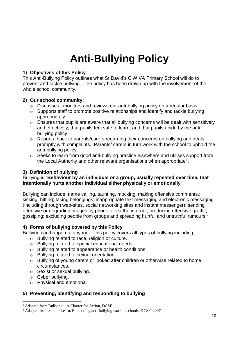## **Anti-Bullying Policy**

## **1) Objectives of this Policy**

This Anti-Bullying Policy outlines what St David's CIW VA Primary School will do to prevent and tackle bullying. The policy has been drawn up with the involvement of the whole school community.

## **2) Our school community:**

- o Discusses , monitors and reviews our anti-bullying policy on a regular basis.
- o Supports staff to promote positive relationships and identify and tackle bullying appropriately.
- o Ensures that pupils are aware that all bullying concerns will be dealt with sensitively and effectively; that pupils feel safe to learn; and that pupils abide by the antibullying policy.
- o Reports back to parents/carers regarding their concerns on bullying and deals promptly with complaints. Parents/ carers in turn work with the school to uphold the anti-bullying policy.
- o Seeks to learn from good anti-bullying practice elsewhere and utilises support from the Local Authority and other relevant organisations when appropriate<sup>1</sup>.

## **3) Definition of bullying**

### Bullying is "**Behaviour by an individual or a group, usually repeated over time, that intentionally hurts another individual either physically or emotionally**".

Bullying can include: name calling, taunting, mocking, making offensive comments,; kicking; hitting; taking belongings; inappropriate text messaging and electronic messaging (including through web-sites, social networking sites and instant messenger); sending offensive or degrading images by phone or via the internet; producing offensive graffiti; gossiping; excluding people from groups and spreading hurtful and untruthful rumours.<sup>2</sup>

## **4) Forms of bullying covered by this Policy**

Bullying can happen to anyone.This policy covers all types of bullying including:

- o Bullying related to race, religion or culture.
- o Bullying related to special educational needs.
- o Bullying related to appearance or health conditions.
- o Bullying related to sexual orientation.
- o Bullying of young carers or looked after children or otherwise related to home circumstances.
- o Sexist or sexual bullying.
- o Cyber bullying.
- o Physical and emotional

## **5) Preventing, identifying and responding to bullying**

<sup>1</sup> <sup>1</sup> Adapted from Bullying – A Charter for Action, DCSF

<sup>&</sup>lt;sup>2</sup> Adapted from Safe to Learn, Embedding anti-bullying work in schools, DCSF, 2007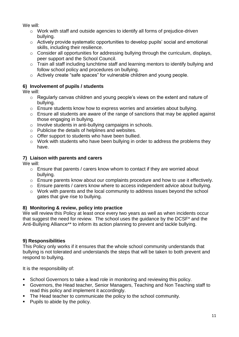We will:

- o Work with staff and outside agencies to identify all forms of prejudice-driven bullying.
- o Actively provide systematic opportunities to develop pupils' social and emotional skills, including their resilience.
- o Consider all opportunities for addressing bullying through the curriculum, displays, peer support and the School Council.
- o Train all staff including lunchtime staff and learning mentors to identify bullying and follow school policy and procedures on bullying.
- o Actively create "safe spaces" for vulnerable children and young people.

## **6) Involvement of pupils / students**

We will:

- o Regularly canvas children and young people's views on the extent and nature of bullying.
- o Ensure students know how to express worries and anxieties about bullying.
- o Ensure all students are aware of the range of sanctions that may be applied against those engaging in bullying.
- o Involve students in anti-bullying campaigns in schools.
- o Publicise the details of helplines and websites.
- o Offer support to students who have been bullied.
- o Work with students who have been bullying in order to address the problems they have.

## **7) Liaison with parents and carers**

We will:

- o Ensure that parents / carers know whom to contact if they are worried about bullying.
- o Ensure parents know about our complaints procedure and how to use it effectively.
- o Ensure parents / carers know where to access independent advice about bullying.
- o Work with parents and the local community to address issues beyond the school gates that give rise to bullying.

## **8) Monitoring & review, policy into practice**

We will review this Policy at least once every two years as well as when incidents occur that suggest the need for review. The school uses the guidance by the DCSF\* and the Anti-Bullying Alliance\*\* to inform its action planning to prevent and tackle bullying.

## **9) Responsibilities**

This Policy only works if it ensures that the whole school community understands that bullying is not tolerated and understands the steps that will be taken to both prevent and respond to bullying.

It is the responsibility of:

- School Governors to take a lead role in monitoring and reviewing this policy.
- Governors, the Head teacher, Senior Managers, Teaching and Non Teaching staff to read this policy and implement it accordingly.
- The Head teacher to communicate the policy to the school community.
- Pupils to abide by the policy.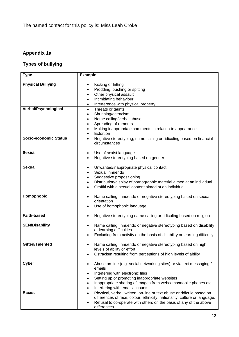## **Appendix 1a**

## **Types of bullying**

| <b>Type</b>                                      | <b>Example</b>                                                                                                                                                                                                                                                                                       |
|--------------------------------------------------|------------------------------------------------------------------------------------------------------------------------------------------------------------------------------------------------------------------------------------------------------------------------------------------------------|
| <b>Physical Bullying</b><br>Verbal/Psychological | Kicking or hitting<br>$\bullet$<br>Prodding, pushing or spitting<br>$\bullet$<br>Other physical assault<br>$\bullet$<br>Intimidating behaviour<br>$\bullet$<br>Interference with physical property<br>$\bullet$<br>Threats or taunts<br>$\bullet$                                                    |
|                                                  | Shunning/ostracism<br>$\bullet$<br>Name calling/verbal abuse<br>$\bullet$<br>Spreading of rumours<br>$\bullet$<br>Making inappropriate comments in relation to appearance<br>$\bullet$<br>Extortion<br>$\bullet$                                                                                     |
| <b>Socio-economic Status</b>                     | Negative stereotyping, name calling or ridiculing based on financial<br>$\bullet$<br>circumstances                                                                                                                                                                                                   |
| <b>Sexist</b>                                    | Use of sexist language<br>$\bullet$<br>Negative stereotyping based on gender<br>$\bullet$                                                                                                                                                                                                            |
| <b>Sexual</b>                                    | Unwanted/inappropriate physical contact<br>$\bullet$<br>Sexual innuendo<br>$\bullet$<br>Suggestive propositioning<br>٠<br>Distribution/display of pornographic material aimed at an individual<br>$\bullet$<br>Graffiti with a sexual content aimed at an individual                                 |
| Homophobic                                       | Name calling, innuendo or negative stereotyping based on sexual<br>$\bullet$<br>orientation<br>Use of homophobic language                                                                                                                                                                            |
| <b>Faith-based</b>                               | Negative stereotyping name calling or ridiculing based on religion<br>$\bullet$                                                                                                                                                                                                                      |
| <b>SEN/Disability</b>                            | Name calling, innuendo or negative stereotyping based on disability<br>$\bullet$<br>or learning difficulties<br>Excluding from activity on the basis of disability or learning difficulty                                                                                                            |
| Gifted/Talented                                  | Name calling, innuendo or negative stereotyping based on high<br>$\bullet$<br>levels of ability or effort<br>Ostracism resulting from perceptions of high levels of ability                                                                                                                          |
| <b>Cyber</b>                                     | Abuse on-line (e.g. social networking sites) or via text messaging /<br>$\bullet$<br>emails<br>Interfering with electronic files<br>Setting up or promoting inappropriate websites<br>Inappropriate sharing of images from webcams/mobile phones etc<br>Interfering with email accounts<br>$\bullet$ |
| <b>Racist</b>                                    | Physical, verbal, written, on-line or text abuse or ridicule based on<br>$\bullet$<br>differences of race, colour, ethnicity, nationality, culture or language.<br>Refusal to co-operate with others on the basis of any of the above<br>differences                                                 |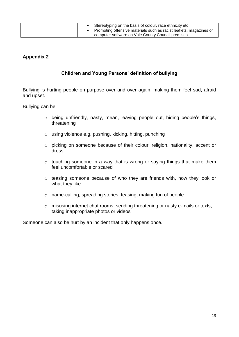|  | Stereotyping on the basis of colour, race ethnicity etc<br>• Promoting offensive materials such as racist leaflets, magazines or |
|--|----------------------------------------------------------------------------------------------------------------------------------|
|  | computer software on Vale County Council premises                                                                                |

## **Appendix 2**

## **Children and Young Persons' definition of bullying**

Bullying is hurting people on purpose over and over again, making them feel sad, afraid and upset.

Bullying can be:

- o being unfriendly, nasty, mean, leaving people out, hiding people's things, threatening
- o using violence e.g. pushing, kicking, hitting, punching
- o picking on someone because of their colour, religion, nationality, accent or dress
- $\circ$  touching someone in a way that is wrong or saying things that make them feel uncomfortable or scared
- o teasing someone because of who they are friends with, how they look or what they like
- o name-calling, spreading stories, teasing, making fun of people
- o misusing internet chat rooms, sending threatening or nasty e-mails or texts, taking inappropriate photos or videos

Someone can also be hurt by an incident that only happens once.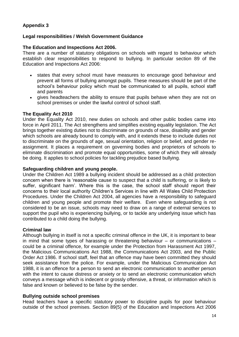## **Appendix 3**

### **Legal responsibilities / Welsh Government Guidance**

#### **The Education and Inspections Act 2006.**

There are a number of statutory obligations on schools with regard to behaviour which establish clear responsibilities to respond to bullying. In particular section 89 of the Education and Inspections Act 2006:

- states that every school must have measures to encourage good behaviour and prevent all forms of bullying amongst pupils. These measures should be part of the school's behaviour policy which must be communicated to all pupils, school staff and parents
- gives headteachers the ability to ensure that pupils behave when they are not on school premises or under the lawful control of school staff.

#### **The Equality Act 2010**

Under the Equality Act 2010, new duties on schools and other public bodies came into force in April 2011. The Act strengthens and simplifies existing equality legislation. The Act brings together existing duties not to discriminate on grounds of race, disability and gender which schools are already bound to comply with, and it extends these to include duties not to discriminate on the grounds of age, sexual orientation, religion or belief, and gender reassignment. It places a requirement on governing bodies and proprietors of schools to eliminate discrimination and promote equal opportunities, some of which they will already be doing. It applies to school policies for tackling prejudice based bullying.

#### **Safeguarding children and young people.**

Under the Children Act 1989 a bullying incident should be addressed as a child protection concern when there is 'reasonable cause to suspect that a child is suffering, or is likely to suffer, significant harm'. Where this is the case, the school staff should report their concerns to their local authority Children's Services in line with All Wales Child Protection Procedures. Under the Children Act 2004, all agencies have a responsibility to safeguard children and young people and promote their welfare. Even where safeguarding is not considered to be an issue, schools may need to draw on a range of external services to support the pupil who is experiencing bullying, or to tackle any underlying issue which has contributed to a child doing the bullying.

#### **Criminal law**

Although bullying in itself is not a specific criminal offence in the UK, it is important to bear in mind that some types of harassing or threatening behaviour – or communications – could be a criminal offence, for example under the Protection from Harassment Act 1997, the Malicious Communications Act 1988, the Communications Act 2003, and the Public Order Act 1986. If school staff, feel that an offence may have been committed they should seek assistance from the police. For example, under the Malicious Communication Act 1988, it is an offence for a person to send an electronic communication to another person with the intent to cause distress or anxiety or to send an electronic communication which conveys a message which is indecent or grossly offensive, a threat, or information which is false and known or believed to be false by the sender.

#### **Bullying outside school premises**

Head teachers have a specific statutory power to discipline pupils for poor behaviour outside of the school premises. Section 89(5) of the Education and Inspections Act 2006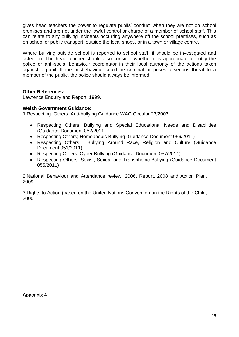gives head teachers the power to regulate pupils' conduct when they are not on school premises and are not under the lawful control or charge of a member of school staff. This can relate to any bullying incidents occurring anywhere off the school premises, such as on school or public transport, outside the local shops, or in a town or village centre.

Where bullying outside school is reported to school staff, it should be investigated and acted on. The head teacher should also consider whether it is appropriate to notify the police or anti-social behaviour coordinator in their local authority of the actions taken against a pupil. If the misbehaviour could be criminal or poses a serious threat to a member of the public, the police should always be informed.

### **Other References:**

Lawrence Enquiry and Report, 1999.

### **Welsh Government Guidance:**

**1.**Respecting Others: Anti-bullying Guidance WAG Circular 23/2003.

- Respecting Others: Bullying and Special Educational Needs and Disabilities (Guidance Document 052/2011)
- Respecting Others; Homophobic Bullying (Guidance Document 056/2011)
- Respecting Others: Bullying Around Race, Religion and Culture (Guidance Document 051/2011)
- Respecting Others: Cyber Bullying (Guidance Document 057/2011)
- Respecting Others: Sexist, Sexual and Transphobic Bullying (Guidance Document 055/2011)

2.National Behaviour and Attendance review, 2006, Report, 2008 and Action Plan, 2009.

3.Rights to Action (based on the United Nations Convention on the Rights of the Child, 2000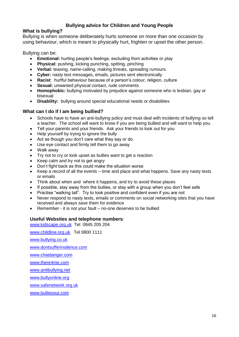## **Bullying advice for Children and Young People**

## **What is bullying?**

Bullying is when someone deliberately hurts someone on more than one occasion by using behaviour, which is meant to physically hurt, frighten or upset the other person.

Bullying can be:

- **Emotional:** hurting people's feelings, excluding from activities or play
- **Physical:** pushing, kicking punching, spitting, pinching
- **Verbal:** teasing, name-calling, making threats, spreading rumours
- **Cyber:** nasty text messages, emails, pictures sent electronically
- **Racist**: hurtful behaviour because of a person's colour, religion, culture
- **Sexual:** unwanted physical contact, rude comments
- **Homophobic:** bullying motivated by prejudice against someone who is lesbian, gay or bisexual
- **Disability:** bullying around special educational needs or disabilities

## **What can I do if I am being bullied?**

- Schools have to have an anti-bullying policy and must deal with incidents of bullying so tell a teacher. The school will want to know if you are being bullied and will want to help you.
- Tell your parents and your friends. Ask your friends to look out for you
- Help yourself by trying to ignore the bully
- Act as though you don't care what they say or do
- Use eye contact and firmly tell them to go away
- Walk away
- Try not to cry or look upset as bullies want to get a reaction
- Keep calm and try not to get angry
- Don't fight back as this could make the situation worse
- Keep a record of all the events time and place and what happens. Save any nasty texts or emails
- Think about when and where it happens, and try to avoid these places
- If possible, stay away from the bullies, or stay with a group when you don't feel safe
- Practise "walking tall". Try to look positive and confident even if you are not
- Never respond to nasty texts, emails or comments on social networking sites that you have received and always save them for evidence
- Remember it is not your fault no-one deserves to be bullied

#### **Useful Websites and telephone numbers**:

[www.kidscape.org.uk](http://www.kidscape.org.uk/) Tel: 0845 205 204

[www.childline.org.uk](http://www.childline.org.uk/) Tel 0800 1111

[www.bullying.co.uk](http://www.bullying.co.uk/)

[www.dontsufferinsilence.com](http://www.dontsufferinsilence.com/)

[www.chatdanger.com](http://www.chatdanger.com/)

[www.there4me.com](http://www.there4me.com/)

[www.antibullying.net](http://www.antibullying.net/)

[www.bullyonline.org](http://www.bullyonline.org/)

[www.safenetwork.org.uk](http://www.safenetwork.org.uk/)

[www.bulliesout.com](http://www.bulliesout.com/)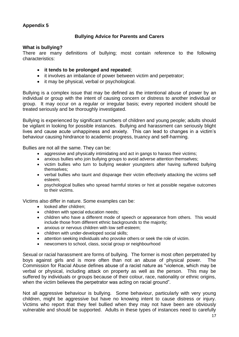## **Appendix 5**

## **Bullying Advice for Parents and Carers**

#### **What is bullying?**

There are many definitions of bullying; most contain reference to the following characteristics:

- **it tends to be prolonged and repeated**;
- it involves an imbalance of power between victim and perpetrator;
- it may be physical, verbal or psychological.

Bullying is a complex issue that may be defined as the intentional abuse of power by an individual or group with the intent of causing concern or distress to another individual or group. It may occur on a regular or irregular basis; every reported incident should be treated seriously and be thoroughly investigated.

Bullying is experienced by significant numbers of children and young people; adults should be vigilant in looking for possible instances. Bullying and harassment can seriously blight lives and cause acute unhappiness and anxiety. This can lead to changes in a victim's behaviour causing hindrance to academic progress, truancy and self-harming.

Bullies are not all the same. They can be:

- aggressive and physically intimidating and act in gangs to harass their victims;
- anxious bullies who join bullying groups to avoid adverse attention themselves;
- victim bullies who turn to bullying weaker youngsters after having suffered bullying themselves;
- verbal bullies who taunt and disparage their victim effectively attacking the victims self esteem;
- psychological bullies who spread harmful stories or hint at possible negative outcomes to their victims.

Victims also differ in nature. Some examples can be:

- looked after children:
- children with special education needs:
- children who have a different mode of speech or appearance from others. This would include those from different ethnic backgrounds to the majority;
- anxious or nervous children with low self-esteem;
- children with under-developed social skills;
- attention seeking individuals who provoke others or seek the role of victim.
- newcomers to school, class, social group or neighbourhood

Sexual or racial harassment are forms of bullying. The former is most often perpetrated by boys against girls and is more often than not an abuse of physical power. The Commission for Racial Abuse defines abuse of a racist nature as "violence, which may be verbal or physical, including attack on property as well as the person. This may be suffered by individuals or groups because of their colour, race, nationality or ethnic origins, when the victim believes the perpetrator was acting on racial ground".

Not all aggressive behaviour is bullying. Some behaviour, particularly with very young children, might be aggressive but have no knowing intent to cause distress or injury. Victims who report that they feel bullied when they may not have been are obviously vulnerable and should be supported. Adults in these types of instances need to carefully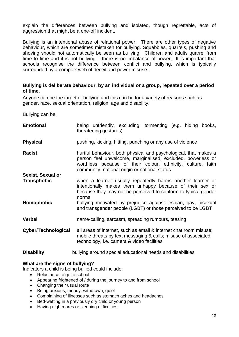explain the differences between bullying and isolated, though regrettable, acts of aggression that might be a one-off incident.

Bullying is an intentional abuse of relational power. There are other types of negative behaviour, which are sometimes mistaken for bullying. Squabbles, quarrels, pushing and shoving should not automatically be seen as bullying. Children and adults quarrel from time to time and it is not bullying if there is no imbalance of power. It is important that schools recognise the difference between conflict and bullying, which is typically surrounded by a complex web of deceit and power misuse.

#### **Bullying is deliberate behaviour, by an individual or a group, repeated over a period of time.**

Anyone can be the target of bullying and this can be for a variety of reasons such as gender, race, sexual orientation, religion, age and disability.

Bullying can be:

| <b>Emotional</b>         | being unfriendly, excluding, tormenting (e.g. hiding books,<br>threatening gestures)                                                                                                                                                             |  |  |  |  |  |  |  |
|--------------------------|--------------------------------------------------------------------------------------------------------------------------------------------------------------------------------------------------------------------------------------------------|--|--|--|--|--|--|--|
| <b>Physical</b>          | pushing, kicking, hitting, punching or any use of violence                                                                                                                                                                                       |  |  |  |  |  |  |  |
| <b>Racist</b>            | hurtful behaviour, both physical and psychological, that makes a<br>person feel unwelcome, marginalised, excluded, powerless or<br>worthless because of their colour, ethnicity, culture, faith<br>community, national origin or national status |  |  |  |  |  |  |  |
| <b>Sexist, Sexual or</b> |                                                                                                                                                                                                                                                  |  |  |  |  |  |  |  |
| <b>Transphobic</b>       | when a learner usually repeatedly harms another learner or<br>intentionally makes them unhappy because of their sex or<br>because they may not be perceived to conform to typical gender<br>norms                                                |  |  |  |  |  |  |  |
| Homophobic               | bullying motivated by prejudice against lesbian, gay, bisexual<br>and transgender people (LGBT) or those perceived to be LGBT                                                                                                                    |  |  |  |  |  |  |  |
| <b>Verbal</b>            | name-calling, sarcasm, spreading rumours, teasing                                                                                                                                                                                                |  |  |  |  |  |  |  |
| Cyber/Technological      | all areas of internet, such as email & internet chat room misuse;<br>mobile threats by text messaging & calls; misuse of associated<br>technology, i.e. camera & video facilities                                                                |  |  |  |  |  |  |  |
| <b>Disability</b>        | bullying around special educational needs and disabilities                                                                                                                                                                                       |  |  |  |  |  |  |  |

#### **What are the signs of bullying?**

Indicators a child is being bullied could include:

- Reluctance to go to school
- Appearing frightened of / during the journey to and from school
- Changing their usual route
- Being anxious, moody, withdrawn, quiet
- Complaining of illnesses such as stomach aches and headaches
- Bed-wetting in a previously dry child or young person
- Having nightmares or sleeping difficulties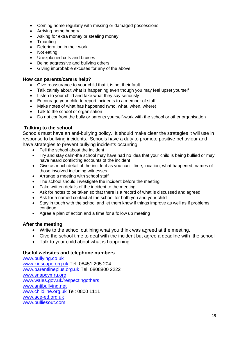- Coming home regularly with missing or damaged possessions
- Arriving home hungry
- Asking for extra money or stealing money
- Truanting
- Deterioration in their work
- Not eating
- Unexplained cuts and bruises
- Being aggressive and bullying others
- Giving improbable excuses for any of the above

### **How can parents/carers help?**

- Give reassurance to your child that it is not their fault
- Talk calmly about what is happening even though you may feel upset yourself
- Listen to your child and take what they say seriously
- Encourage your child to report incidents to a member of staff
- Make notes of what has happened (who, what, when, where)
- Talk to the school or organisation
- Do not confront the bully or parents yourself-work with the school or other organisation

## **Talking to the school**

Schools must have an anti-bullying policy. It should make clear the strategies it will use in response to bullying incidents. Schools have a duty to promote positive behaviour and have strategies to prevent bullying incidents occurring.

- Tell the school about the incident
- Try and stay calm-the school may have had no idea that your child is being bullied or may have heard conflicting accounts of the incident
- Give as much detail of the incident as you can time, location, what happened, names of those involved including witnesses
- Arrange a meeting with school staff
- The school should investigate the incident before the meeting
- Take written details of the incident to the meeting
- Ask for notes to be taken so that there is a record of what is discussed and agreed
- Ask for a named contact at the school for both you and your child
- Stay in touch with the school and let them know if things improve as well as if problems continue
- Agree a plan of action and a time for a follow up meeting

## **After the meeting**

- Write to the school outlining what you think was agreed at the meeting.
- Give the school time to deal with the incident but agree a deadline with the school
- Talk to your child about what is happening

## **Useful websites and telephone numbers**

[www.bullying.co.uk](http://www.bullying.co.uk/) [www.kidscape.org.uk](http://www.kidscape.org.uk/) Tel: 08451 205 204 [www.parentlineplus.org.uk](http://www.parentlineplus.org.uk/) Tel: 0808800 2222 [www.snapcymru.org](http://www.snapcymru.org/) [www.wales.gov.uk/respectingothers](http://www.wales.gov.uk/respectingothers) [www.antibullying.net](http://www.antibullying.net/) [www.childline.org.uk](http://www.childline.org.uk/) Tel: 0800 1111 [www.ace-ed.org.uk](http://www.ace-ed.org.uk/) [www.bulliesout.com](http://www.bulliesout.com/)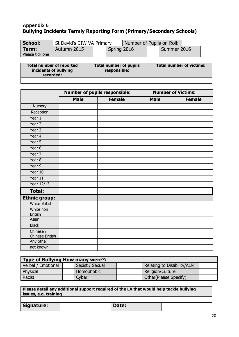## **Appendix 6 Bullying Incidents Termly Reporting Form (Primary/Secondary Schools)**

| School:                  | St David's CIW VA Primary |             | Number of Pupils on Roll: |  |             |  |
|--------------------------|---------------------------|-------------|---------------------------|--|-------------|--|
| Term:<br>Please tick one | Autumn 2015               | Spring 2016 |                           |  | Summer 2016 |  |

| <b>Total number of reported</b><br>incidents of bullying<br>recorded: | <b>Total number of pupils</b><br>responsible: | Total number of victims: |
|-----------------------------------------------------------------------|-----------------------------------------------|--------------------------|
|                                                                       |                                               |                          |

|                              |             | <b>Number of pupils responsible:</b> | <b>Number of Victims:</b> |               |  |  |  |  |
|------------------------------|-------------|--------------------------------------|---------------------------|---------------|--|--|--|--|
|                              | <b>Male</b> | <b>Female</b>                        | <b>Male</b>               | <b>Female</b> |  |  |  |  |
| Nursery                      |             |                                      |                           |               |  |  |  |  |
| Reception                    |             |                                      |                           |               |  |  |  |  |
| Year 1                       |             |                                      |                           |               |  |  |  |  |
| Year 2                       |             |                                      |                           |               |  |  |  |  |
| Year 3                       |             |                                      |                           |               |  |  |  |  |
| Year 4                       |             |                                      |                           |               |  |  |  |  |
| Year 5                       |             |                                      |                           |               |  |  |  |  |
| Year 6                       |             |                                      |                           |               |  |  |  |  |
| Year 7                       |             |                                      |                           |               |  |  |  |  |
| Year 8                       |             |                                      |                           |               |  |  |  |  |
| Year 9                       |             |                                      |                           |               |  |  |  |  |
| Year 10                      |             |                                      |                           |               |  |  |  |  |
| Year 11                      |             |                                      |                           |               |  |  |  |  |
| Year 12/13                   |             |                                      |                           |               |  |  |  |  |
| <b>Total:</b>                |             |                                      |                           |               |  |  |  |  |
| <b>Ethnic group:</b>         |             |                                      |                           |               |  |  |  |  |
| <b>White British</b>         |             |                                      |                           |               |  |  |  |  |
| White non                    |             |                                      |                           |               |  |  |  |  |
| <b>British</b><br>Asian      |             |                                      |                           |               |  |  |  |  |
|                              |             |                                      |                           |               |  |  |  |  |
| <b>Black</b>                 |             |                                      |                           |               |  |  |  |  |
| Chinese /<br>Chinese British |             |                                      |                           |               |  |  |  |  |
| Any other                    |             |                                      |                           |               |  |  |  |  |
| not known                    |             |                                      |                           |               |  |  |  |  |

| Type of Bullying How many were?: |  |                 |  |                            |  |  |  |
|----------------------------------|--|-----------------|--|----------------------------|--|--|--|
| Verbal / Emotional               |  | Sexist / Sexual |  | Relating to Disability/ALN |  |  |  |
| Physical                         |  | Homophobic      |  | Religion/Culture           |  |  |  |
| Racist                           |  | Cyber           |  | Other (Please Specify)     |  |  |  |

**Please detail any additional support required of the LA that would help tackle bullying issues, e.g. training**

**Signature: Date: Date:**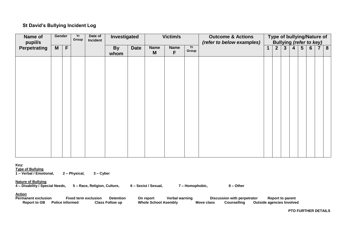### **St David's Bullying Incident Log**

| Name of<br>pupil/s  | Gender |             | Yr<br>Group | Date of<br>Incident |                   |             |                  | Investigated     |             | Victim/s |                |                |                         |                |                 |     |  |  |  |  |  |  |  |  |  |  |  |  |  |  |  |  |  |  |  |  |  |  |  |  |  |  |  |  |  |  |  |  |  |  |  |  |  |  |  |  |  |  |  |  |  |  |  |  |  | <b>Outcome &amp; Actions</b><br>(refer to below examples) |  |  |  | Type of bullying/Nature of<br><b>Bullying (refer to key)</b> |  |  |
|---------------------|--------|-------------|-------------|---------------------|-------------------|-------------|------------------|------------------|-------------|----------|----------------|----------------|-------------------------|----------------|-----------------|-----|--|--|--|--|--|--|--|--|--|--|--|--|--|--|--|--|--|--|--|--|--|--|--|--|--|--|--|--|--|--|--|--|--|--|--|--|--|--|--|--|--|--|--|--|--|--|--|--|--|-----------------------------------------------------------|--|--|--|--------------------------------------------------------------|--|--|
| <b>Perpetrating</b> | M      | $\mathsf F$ |             |                     | <b>By</b><br>whom | <b>Date</b> | <b>Name</b><br>M | <b>Name</b><br>F | Yr<br>Group |          | 2 <sup>2</sup> | 3 <sup>1</sup> | $\overline{\mathbf{4}}$ | 5 <sup>5</sup> | $6\overline{6}$ | 7 8 |  |  |  |  |  |  |  |  |  |  |  |  |  |  |  |  |  |  |  |  |  |  |  |  |  |  |  |  |  |  |  |  |  |  |  |  |  |  |  |  |  |  |  |  |  |  |  |  |  |                                                           |  |  |  |                                                              |  |  |
|                     |        |             |             |                     |                   |             |                  |                  |             |          |                |                |                         |                |                 |     |  |  |  |  |  |  |  |  |  |  |  |  |  |  |  |  |  |  |  |  |  |  |  |  |  |  |  |  |  |  |  |  |  |  |  |  |  |  |  |  |  |  |  |  |  |  |  |  |  |                                                           |  |  |  |                                                              |  |  |
|                     |        |             |             |                     |                   |             |                  |                  |             |          |                |                |                         |                |                 |     |  |  |  |  |  |  |  |  |  |  |  |  |  |  |  |  |  |  |  |  |  |  |  |  |  |  |  |  |  |  |  |  |  |  |  |  |  |  |  |  |  |  |  |  |  |  |  |  |  |                                                           |  |  |  |                                                              |  |  |
|                     |        |             |             |                     |                   |             |                  |                  |             |          |                |                |                         |                |                 |     |  |  |  |  |  |  |  |  |  |  |  |  |  |  |  |  |  |  |  |  |  |  |  |  |  |  |  |  |  |  |  |  |  |  |  |  |  |  |  |  |  |  |  |  |  |  |  |  |  |                                                           |  |  |  |                                                              |  |  |
|                     |        |             |             |                     |                   |             |                  |                  |             |          |                |                |                         |                |                 |     |  |  |  |  |  |  |  |  |  |  |  |  |  |  |  |  |  |  |  |  |  |  |  |  |  |  |  |  |  |  |  |  |  |  |  |  |  |  |  |  |  |  |  |  |  |  |  |  |  |                                                           |  |  |  |                                                              |  |  |
|                     |        |             |             |                     |                   |             |                  |                  |             |          |                |                |                         |                |                 |     |  |  |  |  |  |  |  |  |  |  |  |  |  |  |  |  |  |  |  |  |  |  |  |  |  |  |  |  |  |  |  |  |  |  |  |  |  |  |  |  |  |  |  |  |  |  |  |  |  |                                                           |  |  |  |                                                              |  |  |
|                     |        |             |             |                     |                   |             |                  |                  |             |          |                |                |                         |                |                 |     |  |  |  |  |  |  |  |  |  |  |  |  |  |  |  |  |  |  |  |  |  |  |  |  |  |  |  |  |  |  |  |  |  |  |  |  |  |  |  |  |  |  |  |  |  |  |  |  |  |                                                           |  |  |  |                                                              |  |  |
|                     |        |             |             |                     |                   |             |                  |                  |             |          |                |                |                         |                |                 |     |  |  |  |  |  |  |  |  |  |  |  |  |  |  |  |  |  |  |  |  |  |  |  |  |  |  |  |  |  |  |  |  |  |  |  |  |  |  |  |  |  |  |  |  |  |  |  |  |  |                                                           |  |  |  |                                                              |  |  |
|                     |        |             |             |                     |                   |             |                  |                  |             |          |                |                |                         |                |                 |     |  |  |  |  |  |  |  |  |  |  |  |  |  |  |  |  |  |  |  |  |  |  |  |  |  |  |  |  |  |  |  |  |  |  |  |  |  |  |  |  |  |  |  |  |  |  |  |  |  |                                                           |  |  |  |                                                              |  |  |
|                     |        |             |             |                     |                   |             |                  |                  |             |          |                |                |                         |                |                 |     |  |  |  |  |  |  |  |  |  |  |  |  |  |  |  |  |  |  |  |  |  |  |  |  |  |  |  |  |  |  |  |  |  |  |  |  |  |  |  |  |  |  |  |  |  |  |  |  |  |                                                           |  |  |  |                                                              |  |  |
|                     |        |             |             |                     |                   |             |                  |                  |             |          |                |                |                         |                |                 |     |  |  |  |  |  |  |  |  |  |  |  |  |  |  |  |  |  |  |  |  |  |  |  |  |  |  |  |  |  |  |  |  |  |  |  |  |  |  |  |  |  |  |  |  |  |  |  |  |  |                                                           |  |  |  |                                                              |  |  |

**Key:** 

**Type of Bullying**

**1 – Verbal / Emotional, 2 – Physical, 3 – Cyber**

#### **Nature of Bullying**

**4 – Disability / Special Needs, 5 – Race, Religion, Culture, 6 – Sexist / Sexual, 7 – Homophobic, 8 – Other**

**Action**<br>Permanent exclusion **Permanent exclusion Fixed term exclusion Detention On report Verbal warning Discussion with perpetrator Report to parent Report to GB Police informed** 

**PTO FURTHER DETAILS**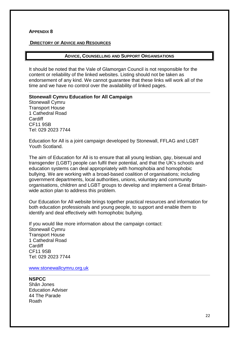#### **APPENDIX 8**

#### **DIRECTORY OF ADVICE AND RESOURCES**

#### **ADVICE, COUNSELLING AND SUPPORT ORGANISATIONS**

It should be noted that the Vale of Glamorgan Council is not responsible for the content or reliability of the linked websites. Listing should not be taken as endorsement of any kind. We cannot guarantee that these links will work all of the time and we have no control over the availability of linked pages.

#### **Stonewall Cymru Education for All Campaign**

Stonewall Cymru Transport House 1 Cathedral Road **Cardiff** CF11 9SB Tel: 029 2023 7744

Education for All is a joint campaign developed by Stonewall, FFLAG and LGBT Youth Scotland.

The aim of Education for All is to ensure that all young lesbian, gay, bisexual and transgender (LGBT) people can fulfil their potential, and that the UK's schools and education systems can deal appropriately with homophobia and homophobic bullying. We are working with a broad-based coalition of organisations; including government departments, local authorities, unions, voluntary and community organisations, children and LGBT groups to develop and implement a Great Britainwide action plan to address this problem.

Our Education for All website brings together practical resources and information for both education professionals and young people, to support and enable them to identify and deal effectively with homophobic bullying.

If you would like more information about the campaign contact: Stonewall Cymru Transport House 1 Cathedral Road Cardiff CF11 9SB Tel: 029 2023 7744

[www.stonewallcymru.org.uk](http://www.stonewallcymru.org.uk/)

#### **NSPCC**

Shân Jones Education Adviser 44 The Parade Roath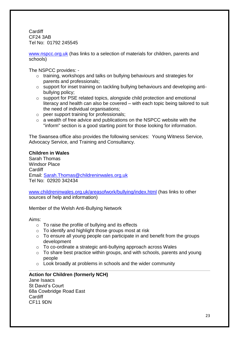**Cardiff** CF24 3AB Tel No: 01792 245545

[www.nspcc.org.uk](http://www.nspcc.org.uk/) (has links to a selection of materials for children, parents and schools)

The NSPCC provides: -

- o training, workshops and talks on bullying behaviours and strategies for parents and professionals;
- o support for inset training on tackling bullying behaviours and developing antibullying policy;
- o support for PSE related topics, alongside child protection and emotional literacy and health can also be covered – with each topic being tailored to suit the need of individual organisations;
- o peer support training for professionals;
- o a wealth of free advice and publications on the NSPCC website with the "inform" section is a good starting point for those looking for information.

The Swansea office also provides the following services: Young Witness Service, Advocacy Service, and Training and Consultancy.

#### **Children in Wales**

Sarah Thomas Windsor Place Cardiff Email: [Sarah.Thomas@childreninwales.org.uk](mailto:Sarah.Thomas@childreninwales.org.uk) Tel No: 02920 342434

[www.childreninwales.org.uk/areasofwork/bullying/index.html](http://www.childreninwales.org.uk/areasofwork/bullying/index.html) (has links to other sources of help and information)

Member of the Welsh Anti-Bullying Network

Aims:

- $\circ$  To raise the profile of bullying and its effects
- o To identify and highlight those groups most at risk
- $\circ$  To ensure all young people can participate in and benefit from the groups development
- o To co-ordinate a strategic anti-bullying approach across Wales
- $\circ$  To share best practice within groups, and with schools, parents and young people
- o Look broadly at problems in schools and the wider community

## **Action for Children (formerly NCH)**

Jane Isaacs St David's Court 68a Cowbridge Road East **Cardiff** CF11 9DN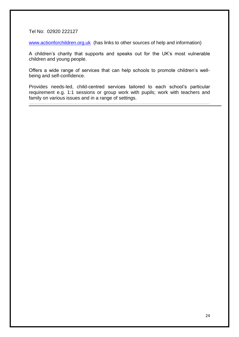Tel No: 02920 222127

[www.actionforchildren.org.uk](http://www.actionforchildren.org.uk/) (has links to other sources of help and information)

A children's charity that supports and speaks out for the UK's most vulnerable children and young people.

Offers a wide range of services that can help schools to promote children's wellbeing and self-confidence.

Provides needs-led, child-centred services tailored to each school's particular requirement e.g. 1:1 sessions or group work with pupils; work with teachers and family on various issues and in a range of settings.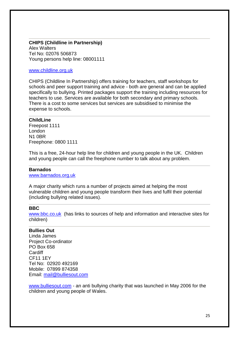#### **CHIPS (Childline in Partnership)** Alex Walters Tel No: 02076 506873 Young persons help line: 08001111

#### [www.childline.org.uk](http://www.childline.org.uk/)

CHIPS (Childline In Partnership) offers training for teachers, staff workshops for schools and peer support training and advice - both are general and can be applied specifically to bullying. Printed packages support the training including resources for teachers to use. Services are available for both secondary and primary schools. There is a cost to some services but services are subsidised to minimise the expense to schools.

#### **ChildLine**

Freepost 1111 London N1 0BR Freephone: 0800 1111

This is a free, 24-hour help line for children and young people in the UK. Children and young people can call the freephone number to talk about any problem.

#### **Barnados**

[www.barnados.org.uk](http://www.barnados.org.uk/)

A major charity which runs a number of projects aimed at helping the most vulnerable children and young people transform their lives and fulfil their potential (including bullying related issues).

#### **BBC**

[www.bbc.co.uk](http://www.bbc.co.uk/) (has links to sources of help and information and interactive sites for children)

### **Bullies Out**

Linda James Project Co-ordinator PO Box 658 Cardiff CF11 1EY Tel No: 02920 492169 Mobile: 07899 874358 Email: [mail@bulliesout.com](mailto:mail@bulliesout.com)

[www.bulliesout.com](http://www.bulliesout.com/) - an anti bullying charity that was launched in May 2006 for the children and young people of Wales.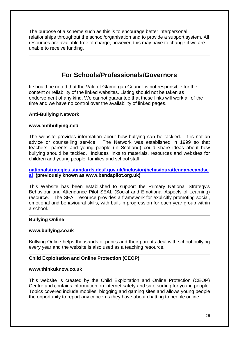The purpose of a scheme such as this is to encourage better interpersonal relationships throughout the school/organisation and to provide a support system. All resources are available free of charge, however, this may have to change if we are unable to receive funding.

## **For Schools/Professionals/Governors**

It should be noted that the Vale of Glamorgan Council is not responsible for the content or reliability of the linked websites. Listing should not be taken as endorsement of any kind. We cannot guarantee that these links will work all of the time and we have no control over the availability of linked pages.

#### **Anti-Bullying Network**

#### **[www.antibullying.net/](http://www.antibullying.net/)**

The website provides information about how bullying can be tackled. It is not an advice or counselling service. The Network was established in 1999 so that teachers, parents and young people (in Scotland) could share ideas about how bullying should be tackled. Includes links to materials, resources and websites for children and young people, families and school staff.

#### **[nationalstrategies.standards.dcsf.gov.uk/inclusion/behaviourattendanceandse](http://nationalstrategies.standards.dcsf.gov.uk/inclusion/behaviourattendanceandseal) [al](http://nationalstrategies.standards.dcsf.gov.uk/inclusion/behaviourattendanceandseal) (previously known as [www.bandapilot.org.uk\)](http://www.bandapilot.org.uk/)**

This Website has been established to support the Primary National Strategy's Behaviour and Attendance Pilot SEAL (Social and Emotional Aspects of Learning) resource. The SEAL resource provides a framework for explicitly promoting social, emotional and behavioural skills, with built-in progression for each year group within a school.

#### **Bullying Online**

#### **[www.bullying.co.uk](http://www.bullying.co.uk/)**

Bullying Online helps thousands of pupils and their parents deal with school bullying every year and the website is also used as a teaching resource.

#### **Child Exploitation and Online Protection (CEOP)**

#### **[www.thinkuknow.co.uk](http://www.thinkuknow.co.uk/)**

This website is created by the Child Exploitation and Online Protection (CEOP) Centre and contains information on internet safety and safe surfing for young people. Topics covered include [mobiles,](http://www.thinkuknow.co.uk/control/mobiles.aspx) [blogging](http://www.thinkuknow.co.uk/control/blogs.aspx) and [gaming](http://www.thinkuknow.co.uk/control/gaming.aspx) sites and allows young people the opportunity to report any concerns they have about chatting to people online.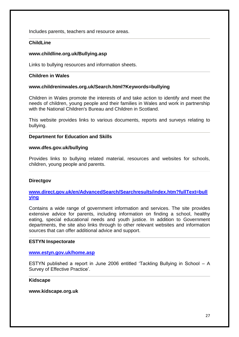Includes parents, teachers and resource areas.

#### **ChildLine**

#### **[www.childline.org.uk/Bullying.asp](http://www.childline.org.uk/Bullying.asp)**

Links to bullying resources and information sheets.

#### **Children in Wales**

#### **[www.childreninwales.org.uk/Search.html?Keywords=bullying](http://www.childreninwales.org.uk/Search.html?Keywords=bullying)**

Children in Wales promote the interests of and take action to identify and meet the needs of children, young people and their families in Wales and work in partnership with the National Children's Bureau and Children in Scotland.

This website provides links to various documents, reports and surveys relating to bullying.

#### **Department for Education and Skills**

#### **[www.dfes.gov.uk/](http://www.dfes.gov.uk/)bullying**

Provides links to bullying related material, resources and websites for schools, children, young people and parents.

#### **Directgov**

#### **[www.direct.gov.uk/en/AdvancedSearch/Searchresults/index.htm?fullText=bull](http://www.direct.gov.uk/en/AdvancedSearch/Searchresults/index.htm?fullText=bullying) [ying](http://www.direct.gov.uk/en/AdvancedSearch/Searchresults/index.htm?fullText=bullying)**

Contains a wide range of government information and services. The site provides extensive advice for parents, including information on finding a school, healthy eating, special educational needs and youth justice. In addition to Government departments, the site also links through to other relevant websites and information sources that can offer additional advice and support.

#### **ESTYN Inspectorate**

#### **[www.estyn.gov.uk/home.asp](http://www.estyn.gov.uk/home.asp)**

ESTYN published a report in June 2006 entitled 'Tackling Bullying in School – A Survey of Effective Practice'.

#### **Kidscape**

#### **[www.kidscape.org.uk](http://www.kidscape.org.uk/)**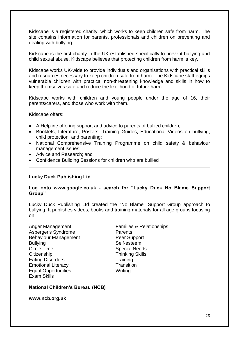Kidscape is a registered charity, which works to keep children safe from harm. The site contains information for parents, professionals and children on preventing and dealing with bullying.

Kidscape is the first charity in the UK established specifically to prevent bullying and child sexual abuse. Kidscape believes that protecting children from harm is key.

Kidscape works UK-wide to provide individuals and organisations with practical skills and resources necessary to keep children safe from harm. The Kidscape staff equips vulnerable children with practical non-threatening knowledge and skills in how to keep themselves safe and reduce the likelihood of future harm.

Kidscape works with children and young people under the age of 16, their parents/carers, and those who work with them.

Kidscape offers:

- A Helpline offering support and advice to parents of bullied children;
- [Booklets, Literature, Posters, Training Guides, Educational Videos](http://www.kidscape.org.uk/publications/asp/list.asp) on bullying, child protection, and parenting;
- [National Comprehensive Training Programme](http://www.kidscape.org.uk/training/trainingindex.shtml) on child safety & behaviour management issues;
- Advice and Research: and
- [Confidence Building Sessions](http://www.kidscape.org.uk/zap/zapindex.shtml) for children who are bullied

## **Lucky Duck Publishing Ltd**

#### **[Log](http://www.luckyduck.co.uk/) onto www.google.co.uk - search for "Lucky Duck No Blame Support Group"**

Lucky Duck Publishing Ltd created the "No Blame" Support Group approach to bullying. It publishes videos, books and training materials for all age groups focusing on:

Anger Management Families & Relationships Asperger's Syndrome **Parents** Behaviour Management Peer Support Bullving **Self-esteem** Circle Time **Special Needs** Citizenship **Thinking Skills** Eating Disorders Training **Emotional Literacy** Transition Equal Opportunities Writing Exam Skills

#### **National Children's Bureau (NCB)**

#### **[www.ncb.org.uk](http://www.ncb.org.uk/)**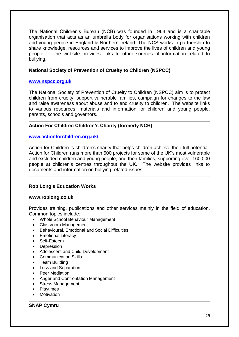The National Children's Bureau (NCB) was founded in 1963 and is a charitable organisation that acts as an umbrella body for organisations working with children and young people in England & Northern Ireland. The NCS works in partnership to share knowledge, resources and services to improve the lives of children and young people. The website provides links to other sources of information related to bullying.

#### **National Society of Prevention of Cruelty to Children (NSPCC)**

#### **[www.nspcc.org.uk](http://www.nspcc.org.uk/)**

The National Society of Prevention of Cruelty to Children (NSPCC) aim is to protect children from cruelty, support vulnerable families, campaign for changes to the law and raise awareness about abuse and to end cruelty to children. The website links to various resources, materials and information for children and young people, parents, schools and governors.

#### **Action For Children Children's Charity (formerly NCH)**

#### **[www.actionforchildren.org.uk/](http://www.actionforchildren.org.uk/)**

Action for Children is children's charity that helps children achieve their full potential. Action for Children runs more than 500 projects for some of the UK's most vulnerable and excluded children and young people, and their families, supporting over 160,000 people at children's centres throughout the UK. The website provides links to documents and information on bullying related issues.

#### **Rob Long's Education Works**

#### **[www.roblong.co.uk](http://www.roblong.co.uk/)**

Provides training, publications and other services mainly in the field of education. Common topics include:

- Whole School Behaviour Management
- Classroom Management
- Behavioural, Emotional and Social Difficulties
- Emotional Literacy
- Self-Esteem
- Depression
- Adolescent and Child Development
- Communication Skills
- Team Building
- Loss and Separation
- Peer Mediation
- Anger and Confrontation Management
- Stress Management
- Playtimes
- Motivation

#### **SNAP Cymru**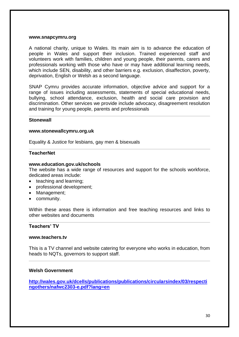#### **[www.snapcymru.org](http://www.snapcymru.org/)**

A national charity, unique to Wales. Its main aim is to advance the education of people in Wales and support their inclusion. Trained experienced staff and volunteers work with families, children and young people, their parents, carers and professionals working with those who have or may have additional learning needs, which include SEN, disability, and other barriers e.g. exclusion, disaffection, poverty, deprivation, English or Welsh as a second language.

SNAP Cymru provides accurate information, objective advice and support for a range of issues including assessments, statements of special educational needs, bullying, school attendance, exclusion, health and social care provision and discrimination. Other services we provide include advocacy, disagreement resolution and training for young people, parents and professionals

#### **Stonewall**

#### **[www.stonewallcymru.org.uk](http://www.stonewallcymru.org.uk/)**

Equality & Justice for lesbians, gay men & bisexuals

#### **TeacherNet**

#### **[www.education.gov.uk/schools](http://www.teachernet.gov.uk/)**

The website has a wide range of resources and support for the schools workforce, dedicated areas include:

- teaching and learning;
- professional development:
- Management;
- community.

Within these areas there is information and free teaching resources and links to other websites and documents

#### **Teachers' TV**

#### **[www.teachers.tv](http://www.teachers.tv/)**

This is a TV channel and website catering for everyone who works in education, from heads to [NQTs,](http://www.teachers.tv/help/glossary#term784) governors to support staff.

#### **Welsh Government**

**[http://wales.gov.uk/dcells/publications/publications/circularsindex/03/respecti](http://wales.gov.uk/dcells/publications/publications/circularsindex/03/respectingothers/nafwc2303-e.pdf?lang=en) [ngothers/nafwc2303-e.pdf?lang=en](http://wales.gov.uk/dcells/publications/publications/circularsindex/03/respectingothers/nafwc2303-e.pdf?lang=en)**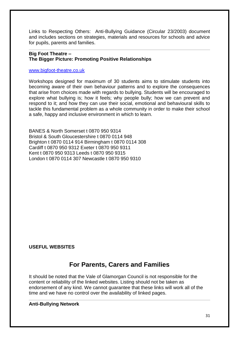Links to Respecting Others: Anti-Bullying Guidance (Circular 23/2003) document and includes sections on strategies, materials and resources for schools and advice for pupils, parents and families.

#### **Big Foot Theatre – The Bigger Picture: Promoting Positive Relationships**

#### [www.bigfoot-theatre.co.uk](http://www.bigfoot-theatre.co.uk/)

Workshops designed for maximum of 30 students aims to stimulate students into becoming aware of their own behaviour patterns and to explore the consequences that arise from choices made with regards to bullying. Students will be encouraged to explore what bullying is; how it feels; why people bully; how we can prevent and respond to it; and how they can use their social, emotional and behavioural skills to tackle this fundamental problem as a whole community in order to make their school a safe, happy and inclusive environment in which to learn.

BANES & North Somerset t 0870 950 9314 Bristol & South Gloucestershire t 0870 0114 948 Brighton t 0870 0114 914 Birmingham t 0870 0114 308 Cardiff t 0870 950 9312 Exeter t 0870 950 9311 Kent t 0870 950 9313 Leeds t 0870 950 9315 London t 0870 0114 307 Newcastle t 0870 950 9310

## **USEFUL WEBSITES**

## **For Parents, Carers and Families**

It should be noted that the Vale of Glamorgan Council is not responsible for the content or reliability of the linked websites. Listing should not be taken as endorsement of any kind. We cannot guarantee that these links will work all of the time and we have no control over the availability of linked pages.

#### **Anti-Bullying Network**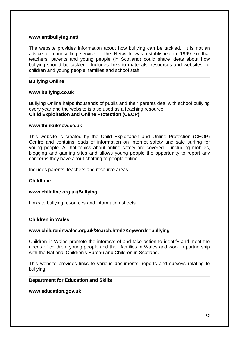#### **[www.antibullying.net/](http://www.antibullying.net/)**

The website provides information about how bullying can be tackled. It is not an advice or counselling service. The Network was established in 1999 so that teachers, parents and young people (in Scotland) could share ideas about how bullying should be tackled. Includes links to materials, resources and websites for children and young people, families and school staff.

#### **Bullying Online**

#### **[www.bullying.co.uk](http://www.bullying.co.uk/)**

Bullying Online helps thousands of pupils and their parents deal with school bullying every year and the website is also used as a teaching resource. **Child Exploitation and Online Protection (CEOP)**

#### **[www.thinkuknow.co.uk](http://www.thinkuknow.co.uk/)**

This website is created by the Child Exploitation and Online Protection (CEOP) Centre and contains loads of information on Internet safety and safe surfing for young people. All hot topics about online safety are covered – including [mobiles,](http://www.thinkuknow.co.uk/control/mobiles.aspx) [blogging](http://www.thinkuknow.co.uk/control/blogs.aspx) and [gaming](http://www.thinkuknow.co.uk/control/gaming.aspx) sites and allows young people the opportunity to report any concerns they have about chatting to people online.

Includes parents, teachers and resource areas.

#### **ChildLine**

#### **www.childline.org.uk/Bullying**

Links to bullying resources and information sheets.

#### **Children in Wales**

#### **[www.childreninwales.org.uk/Search.html?Keywords=bullying](http://www.childreninwales.org.uk/Search.html?Keywords=bullying)**

Children in Wales promote the interests of and take action to identify and meet the needs of children, young people and their families in Wales and work in partnership with the National Children's Bureau and Children in Scotland.

This website provides links to various documents, reports and surveys relating to bullying.

#### **Department for Education and Skills**

#### **www.education.gov.uk**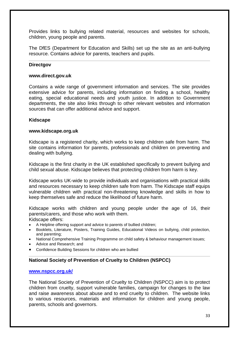Provides links to bullying related material, resources and websites for schools, children, young people and parents.

The DfES (Department for Education and Skills) set up the site as an anti-bullying resource. Contains advice for parents, teachers and pupils.

#### **Directgov**

#### **[www.direct.gov.uk](http://www.direct.gov.uk/)**

Contains a wide range of government information and services. The site provides extensive advice for parents, including information on finding a school, healthy eating, special educational needs and youth justice. In addition to Government departments, the site also links through to other relevant websites and information sources that can offer additional advice and support.

#### **Kidscape**

#### **[www.kidscape.org.uk](http://www.kidscape.org.uk/)**

Kidscape is a registered charity, which works to keep children safe from harm. The site contains information for parents, professionals and children on preventing and dealing with bullying.

Kidscape is the first charity in the UK established specifically to prevent bullying and child sexual abuse. Kidscape believes that protecting children from harm is key.

Kidscape works UK-wide to provide individuals and organisations with practical skills and resources necessary to keep children safe from harm. The Kidscape staff equips vulnerable children with practical non-threatening knowledge and skills in how to keep themselves safe and reduce the likelihood of future harm.

Kidscape works with children and young people under the age of 16, their parents/carers, and those who work with them.

Kidscape offers:

- A Helpline offering support and advice to parents of bullied children;
- [Booklets, Literature, Posters, Training Guides, Educational Videos](http://www.kidscape.org.uk/publications/asp/list.asp) on bullying, child protection, and parenting;
- [National Comprehensive Training Programme](http://www.kidscape.org.uk/training/trainingindex.shtml) on child safety & behaviour management issues;
- [Advice and Research;](http://www.kidscape.org.uk/events/eventsindex.asp) and
- [Confidence Building Sessions](http://www.kidscape.org.uk/zap/zapindex.shtml) for children who are bullied

#### **National Society of Prevention of Cruelty to Children (NSPCC)**

#### **[www.nspcc.org.uk/](http://www.nspcc.org.uk/)**

The National Society of Prevention of Cruelty to Children (NSPCC) aim is to protect children from cruelty, support vulnerable families, campaign for changes to the law and raise awareness about abuse and to end cruelty to children. The website links to various resources, materials and information for children and young people, parents, schools and governors.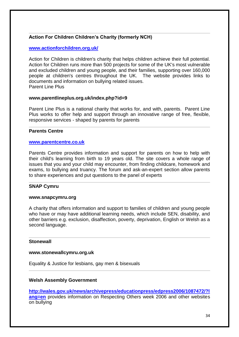## **Action For Children Children's Charity (formerly NCH)**

#### **[www.actionforchildren.org.uk/](http://www.actionforchildren.org.uk/)**

Action for Children is children's charity that helps children achieve their full potential. Action for Children runs more than 500 projects for some of the UK's most vulnerable and excluded children and young people, and their families, supporting over 160,000 people at children's centres throughout the UK. The website provides links to documents and information on bullying related issues. Parent Line Plus

#### **[www.parentlineplus.org.uk/index.php?id=9](http://www.parentlineplus.org.uk/index.php?id=9)**

Parent Line Plus is a national charity that works for, and with, parents. Parent Line Plus works to offer help and support through an innovative range of free, flexible, responsive services - shaped by parents for parents

#### **Parents Centre**

#### **[www.parentcentre.co.uk](http://www.parentcentre.co.uk/)**

Parents Centre provides information and support for parents on how to help with their child's learning from birth to 19 years old. The site covers a whole range of issues that you and your child may encounter, from finding childcare, homework and exams, to bullying and truancy. The forum and ask-an-expert section allow parents to share experiences and put questions to the panel of experts

#### **SNAP Cymru**

#### **[www.snapcymru.org](http://www.snapcymru.org/)**

A charity that offers information and support to families of children and young people who have or may have additional learning needs, which include SEN, disability, and other barriers e.g. exclusion, disaffection, poverty, deprivation, English or Welsh as a second language.

#### **Stonewall**

#### **[www.stonewallcymru.org.uk](http://www.stonewallcymru.org.uk/)**

Equality & Justice for lesbians, gay men & bisexuals

#### **Welsh Assembly Government**

**[http://wales.gov.uk/news/archivepress/educationpress/edpress2006/1087472/?l](http://wales.gov.uk/news/archivepress/educationpress/edpress2006/1087472/?lang=en) [ang=en](http://wales.gov.uk/news/archivepress/educationpress/edpress2006/1087472/?lang=en)** provides information on Respecting Others week 2006 and other websites on bullying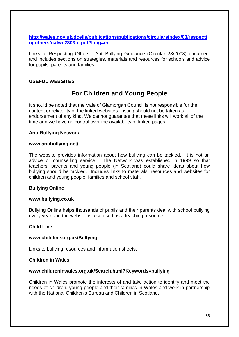**[http://wales.gov.uk/dcells/publications/publications/circularsindex/03/respecti](http://wales.gov.uk/dcells/publications/publications/circularsindex/03/respectingothers/nafwc2303-e.pdf?lang=en) [ngothers/nafwc2303-e.pdf?lang=en](http://wales.gov.uk/dcells/publications/publications/circularsindex/03/respectingothers/nafwc2303-e.pdf?lang=en)** 

Links to Respecting Others: Anti-Bullying Guidance (Circular 23/2003) document and includes sections on strategies, materials and resources for schools and advice for pupils, parents and families.

### **USEFUL WEBSITES**

## **For Children and Young People**

It should be noted that the Vale of Glamorgan Council is not responsible for the content or reliability of the linked websites. Listing should not be taken as endorsement of any kind. We cannot guarantee that these links will work all of the time and we have no control over the availability of linked pages.

#### **Anti-Bullying Network**

#### **[www.antibullying.net/](http://www.antibullying.net/)**

The website provides information about how bullying can be tackled. It is not an advice or counselling service. The Network was established in 1999 so that teachers, parents and young people (in Scotland) could share ideas about how bullying should be tackled. Includes links to materials, resources and websites for children and young people, families and school staff.

#### **Bullying Online**

#### **[www.bullying.co.uk](http://www.bullying.co.uk/)**

Bullying Online helps thousands of pupils and their parents deal with school bullying every year and the website is also used as a teaching resource.

#### **Child Line**

#### **www.childline.org.uk/Bullying**

Links to bullying resources and information sheets.

#### **Children in Wales**

#### **[www.childreninwales.org.uk/Search.html?Keywords=bullying](http://www.childreninwales.org.uk/Search.html?Keywords=bullying)**

Children in Wales promote the interests of and take action to identify and meet the needs of children, young people and their families in Wales and work in partnership with the National Children's Bureau and Children in Scotland.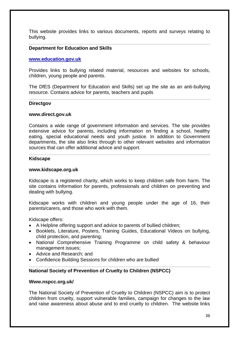This website provides links to various documents, reports and surveys relating to bullying.

#### **Department for Education and Skills**

#### **[www.education.gov.uk](http://www.education.gov.uk/)**

Provides links to bullying related material, resources and websites for schools, children, young people and parents.

The DfES (Department for Education and Skills) set up the site as an anti-bullying resource. Contains advice for parents, teachers and pupils

#### **Directgov**

#### **[www.direct.gov.uk](http://www.direct.gov.uk/)**

Contains a wide range of government information and services. The site provides extensive advice for parents, including information on finding a school, healthy eating, special educational needs and youth justice. In addition to Government departments, the site also links through to other relevant websites and information sources that can offer additional advice and support.

#### **Kidscape**

#### **[www.kidscape.org.uk](http://www.kidscape.org.uk/)**

Kidscape is a registered charity, which works to keep children safe from harm. The site contains information for parents, professionals and children on preventing and dealing with bullying.

Kidscape works with children and young people under the age of 16, their parents/carers, and those who work with them.

Kidscape offers:

- A Helpline offering support and advice to parents of bullied children;
- [Booklets, Literature, Posters, Training Guides, Educational Videos](http://www.kidscape.org.uk/publications/asp/list.asp) on bullying, child protection, and parenting;
- [National Comprehensive Training Programme](http://www.kidscape.org.uk/training/trainingindex.shtml) on child safety & behaviour management issues;
- Advice and Research: and
- [Confidence Building Sessions](http://www.kidscape.org.uk/zap/zapindex.shtml) for children who are bullied

#### **National Society of Prevention of Cruelty to Children (NSPCC)**

#### **Www.nspcc.org.uk/**

The National Society of Prevention of Cruelty to Children (NSPCC) aim is to protect children from cruelty, support vulnerable families, campaign for changes to the law and raise awareness about abuse and to end cruelty to children. The website links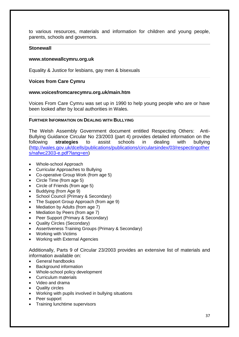to various resources, materials and information for children and young people, parents, schools and governors.

#### **Stonewall**

#### **[www.stonewallcymru.org.uk](http://www.stonewallcymru.org.uk/)**

Equality & Justice for lesbians, gay men & bisexuals

#### **Voices from Care Cymru**

#### **[www.voicesfromcarecymru.org.uk/main.htm](http://www.voicesfromcarecymru.org.uk/main.htm)**

Voices From Care Cymru was set up in 1990 to help young people who are or have been looked after by local authorities in Wales.

#### **FURTHER INFORMATION ON DEALING WITH BULLYING**

The Welsh Assembly Government document entitled Respecting Others: Anti-Bullying Guidance Circular No 23/2003 (part 4) provides detailed information on the following **strategies** to assist schools in dealing with bullying [\(http://wales.gov.uk/dcells/publications/publications/circularsindex/03/respectingother](http://wales.gov.uk/dcells/publications/publications/circularsindex/03/respectingothers/nafwc2303-e.pdf?lang=en) [s/nafwc2303-e.pdf?lang=en\)](http://wales.gov.uk/dcells/publications/publications/circularsindex/03/respectingothers/nafwc2303-e.pdf?lang=en)

- Whole-school Approach
- Curricular Approaches to Bullying
- Co-operative Group Work (from age 5)
- Circle Time (from age 5)
- Circle of Friends (from age 5)
- Buddying (from Age 9)
- School Council (Primary & Secondary)
- The Support Group Approach (from age 9)
- Mediation by Adults (from age 7)
- Mediation by Peers (from age 7)
- Peer Support (Primary & Secondary)
- Quality Circles (Secondary)
- Assertiveness Training Groups (Primary & Secondary)
- Working with Victims
- Working with External Agencies

Additionally, Parts 9 of Circular 23/2003 provides an extensive list of materials and information available on:

- General handbooks
- Background information
- Whole-school policy development
- Curriculum materials
- Video and drama
- Quality circles
- Working with pupils involved in bullying situations
- Peer support
- Training lunchtime supervisors